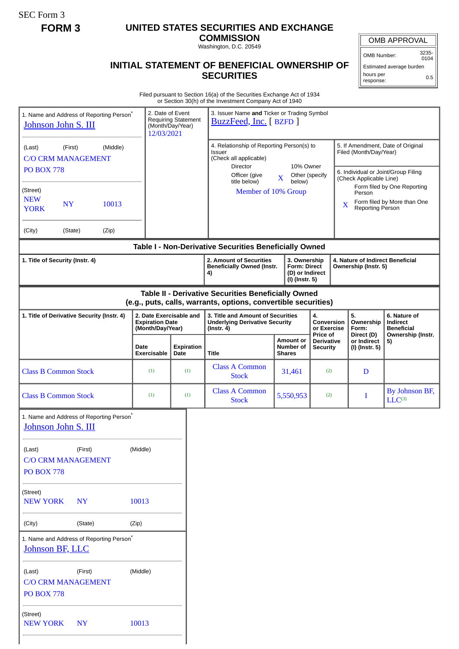SEC Form 3

# **FORM 3 UNITED STATES SECURITIES AND EXCHANGE**

**COMMISSION** Washington, D.C. 20549

## OMB APPROVAL

OMB Number: 3235- 0104

Estimated average burden hours per response: 0.5

### **INITIAL STATEMENT OF BENEFICIAL OWNERSHIP OF SECURITIES**

Filed pursuant to Section 16(a) of the Securities Exchange Act of 1934 or Section 30(h) of the Investment Company Act of 1940

| 1. Name and Address of Reporting Person <sup>®</sup><br>Johnson John S. III     |         |       |                                                                       | 2. Date of Event<br><b>Requiring Statement</b><br>(Month/Day/Year)<br>12/03/2021 |                                                                                                                                                | 3. Issuer Name and Ticker or Trading Symbol<br>BuzzFeed, Inc. [ BZFD ]                                                                                                                                                              |                                                                 |                                                |                                                                                                    |                                        |                                                                                                                          |                               |  |
|---------------------------------------------------------------------------------|---------|-------|-----------------------------------------------------------------------|----------------------------------------------------------------------------------|------------------------------------------------------------------------------------------------------------------------------------------------|-------------------------------------------------------------------------------------------------------------------------------------------------------------------------------------------------------------------------------------|-----------------------------------------------------------------|------------------------------------------------|----------------------------------------------------------------------------------------------------|----------------------------------------|--------------------------------------------------------------------------------------------------------------------------|-------------------------------|--|
| (Middle)<br>(First)<br>(Last)<br><b>C/O CRM MANAGEMENT</b><br><b>PO BOX 778</b> |         |       |                                                                       |                                                                                  |                                                                                                                                                | 4. Relationship of Reporting Person(s) to<br><b>Issuer</b><br>(Check all applicable)<br>10% Owner<br><b>Director</b><br>Officer (give<br>Other (specify<br>$\overline{\mathbf{X}}$<br>below)<br>title below)<br>Member of 10% Group |                                                                 |                                                | 5. If Amendment, Date of Original<br>Filed (Month/Day/Year)<br>6. Individual or Joint/Group Filing |                                        |                                                                                                                          |                               |  |
| (Street)<br><b>NEW</b><br><b>NY</b><br>10013<br><b>YORK</b>                     |         |       |                                                                       |                                                                                  |                                                                                                                                                |                                                                                                                                                                                                                                     |                                                                 |                                                |                                                                                                    |                                        | (Check Applicable Line)<br>Form filed by One Reporting<br>Person<br>Form filed by More than One<br>X<br>Reporting Person |                               |  |
| (City)                                                                          | (State) | (Zip) |                                                                       |                                                                                  |                                                                                                                                                |                                                                                                                                                                                                                                     |                                                                 |                                                |                                                                                                    |                                        |                                                                                                                          |                               |  |
|                                                                                 |         |       |                                                                       |                                                                                  |                                                                                                                                                | Table I - Non-Derivative Securities Beneficially Owned                                                                                                                                                                              |                                                                 |                                                |                                                                                                    |                                        |                                                                                                                          |                               |  |
| 1. Title of Security (Instr. 4)                                                 |         |       |                                                                       |                                                                                  | 2. Amount of Securities<br>3. Ownership<br><b>Form: Direct</b><br><b>Beneficially Owned (Instr.</b><br>(D) or Indirect<br>4)<br>(I) (Instr. 5) |                                                                                                                                                                                                                                     | <b>4. Nature of Indirect Beneficial</b><br>Ownership (Instr. 5) |                                                |                                                                                                    |                                        |                                                                                                                          |                               |  |
|                                                                                 |         |       |                                                                       |                                                                                  |                                                                                                                                                | Table II - Derivative Securities Beneficially Owned<br>(e.g., puts, calls, warrants, options, convertible securities)                                                                                                               |                                                                 |                                                |                                                                                                    |                                        |                                                                                                                          |                               |  |
| 1. Title of Derivative Security (Instr. 4)                                      |         |       | 2. Date Exercisable and<br><b>Expiration Date</b><br>(Month/Day/Year) |                                                                                  |                                                                                                                                                | 3. Title and Amount of Securities<br><b>Underlying Derivative Security</b><br>$($ lnstr. 4 $)$                                                                                                                                      |                                                                 | 4.<br>Conversion<br>or Exercise<br>Price of    |                                                                                                    | 5.<br>Ownership<br>Form:<br>Direct (D) | 6. Nature of<br>Indirect<br><b>Beneficial</b><br>Ownership (Instr.                                                       |                               |  |
|                                                                                 |         |       | Date<br><b>Exercisable</b>                                            | Date                                                                             | Expiration                                                                                                                                     | <b>Title</b>                                                                                                                                                                                                                        |                                                                 | <b>Amount or</b><br>Number of<br><b>Shares</b> | Derivative<br><b>Security</b>                                                                      |                                        | or Indirect<br>(I) (Instr. 5)                                                                                            | 5)                            |  |
| <b>Class B Common Stock</b>                                                     |         |       | (1)                                                                   |                                                                                  | (1)                                                                                                                                            | <b>Class A Common</b><br><b>Stock</b>                                                                                                                                                                                               |                                                                 | 31,461                                         | (2)                                                                                                |                                        | D                                                                                                                        |                               |  |
| <b>Class B Common Stock</b>                                                     |         |       | (1)                                                                   |                                                                                  | (1)                                                                                                                                            | <b>Class A Common</b><br><b>Stock</b>                                                                                                                                                                                               |                                                                 | 5,550,953                                      | (2)                                                                                                |                                        | I                                                                                                                        | By Johnson BF,<br>$LLC^{(3)}$ |  |
| 1. Name and Address of Reporting Person <sup>*</sup><br>Johnson John S. III     |         |       |                                                                       |                                                                                  |                                                                                                                                                |                                                                                                                                                                                                                                     |                                                                 |                                                |                                                                                                    |                                        |                                                                                                                          |                               |  |
| (First)<br>(Middle)<br>(Last)<br><b>C/O CRM MANAGEMENT</b><br><b>PO BOX 778</b> |         |       |                                                                       |                                                                                  |                                                                                                                                                |                                                                                                                                                                                                                                     |                                                                 |                                                |                                                                                                    |                                        |                                                                                                                          |                               |  |
| (Street)<br><b>NEW YORK</b><br><b>NY</b>                                        |         |       | 10013                                                                 |                                                                                  |                                                                                                                                                |                                                                                                                                                                                                                                     |                                                                 |                                                |                                                                                                    |                                        |                                                                                                                          |                               |  |
| (State)<br>(City)<br>(Zip)                                                      |         |       |                                                                       |                                                                                  |                                                                                                                                                |                                                                                                                                                                                                                                     |                                                                 |                                                |                                                                                                    |                                        |                                                                                                                          |                               |  |
| 1. Name and Address of Reporting Person <sup>*</sup><br>Johnson BF, LLC         |         |       |                                                                       |                                                                                  |                                                                                                                                                |                                                                                                                                                                                                                                     |                                                                 |                                                |                                                                                                    |                                        |                                                                                                                          |                               |  |
| (First)<br>(Last)<br><b>C/O CRM MANAGEMENT</b><br><b>PO BOX 778</b>             |         |       | (Middle)                                                              |                                                                                  |                                                                                                                                                |                                                                                                                                                                                                                                     |                                                                 |                                                |                                                                                                    |                                        |                                                                                                                          |                               |  |
| (Street)<br><b>NEW YORK</b><br><b>NY</b>                                        |         |       | 10013                                                                 |                                                                                  |                                                                                                                                                |                                                                                                                                                                                                                                     |                                                                 |                                                |                                                                                                    |                                        |                                                                                                                          |                               |  |
|                                                                                 |         |       |                                                                       |                                                                                  |                                                                                                                                                |                                                                                                                                                                                                                                     |                                                                 |                                                |                                                                                                    |                                        |                                                                                                                          |                               |  |